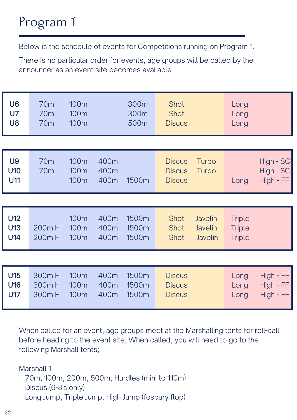## Program 1

| U <sub>6</sub><br><b>U7</b><br><b>U8</b> | 70 <sub>m</sub><br>70 <sub>m</sub><br>70 <sub>m</sub> | 100m<br>100 <sub>m</sub><br>100m             |                      | 300m<br>300m<br>500m    | Shot<br>Shot<br><b>Discus</b>                   |                                                    | Long<br>Long<br>Long                            |                                         |
|------------------------------------------|-------------------------------------------------------|----------------------------------------------|----------------------|-------------------------|-------------------------------------------------|----------------------------------------------------|-------------------------------------------------|-----------------------------------------|
|                                          |                                                       |                                              |                      |                         |                                                 |                                                    |                                                 |                                         |
| <b>U9</b><br>U10<br><b>U11</b>           | 70 <sub>m</sub><br>70 <sub>m</sub>                    | 100m<br>100 <sub>m</sub><br>100m             | 400m<br>400m<br>400m | 1500m                   | <b>Discus</b><br><b>Discus</b><br><b>Discus</b> | Turbo<br>Turbo                                     | Long                                            | $High - SC$<br>High - SC<br>High - FF   |
|                                          |                                                       |                                              |                      |                         |                                                 |                                                    |                                                 |                                         |
| <b>U12</b><br>U13<br>U14                 | 200m H<br>200mH                                       | 100m<br>100 <sub>m</sub><br>100 <sub>m</sub> | 400m<br>400m<br>400m | 1500m<br>1500m<br>1500m | Shot<br>Shot<br>Shot                            | <b>Javelin</b><br><b>Javelin</b><br><b>Javelin</b> | <b>Triple</b><br><b>Triple</b><br><b>Triple</b> |                                         |
|                                          |                                                       |                                              |                      |                         |                                                 |                                                    |                                                 |                                         |
| <b>U15</b><br><b>U16</b><br><b>U17</b>   | 300mH<br>300mH<br>300mH                               | 100m<br>100 <sub>m</sub><br>100 <sub>m</sub> | 400m<br>400m<br>400m | 1500m<br>1500m<br>1500m | <b>Discus</b><br><b>Discus</b><br><b>Discus</b> |                                                    | Long<br>Long<br>Long                            | $High$ - $FF$<br>High - FF<br>High - FF |

Below is the schedule of events for Competitions running on Program 1.

There is no particular order for events, age groups will be called by the announcer as an event site becomes available.

When called for an event, age groups meet at the Marshalling tents for roll-call before heading to the event site. When called, you will need to go to the following Marshall tents;

Marshall 1

70m, 100m, 200m, 500m, Hurdles (mini to 110m) Discus (6-8's only) Long Jump, Triple Jump, High Jump (fosbury flop)